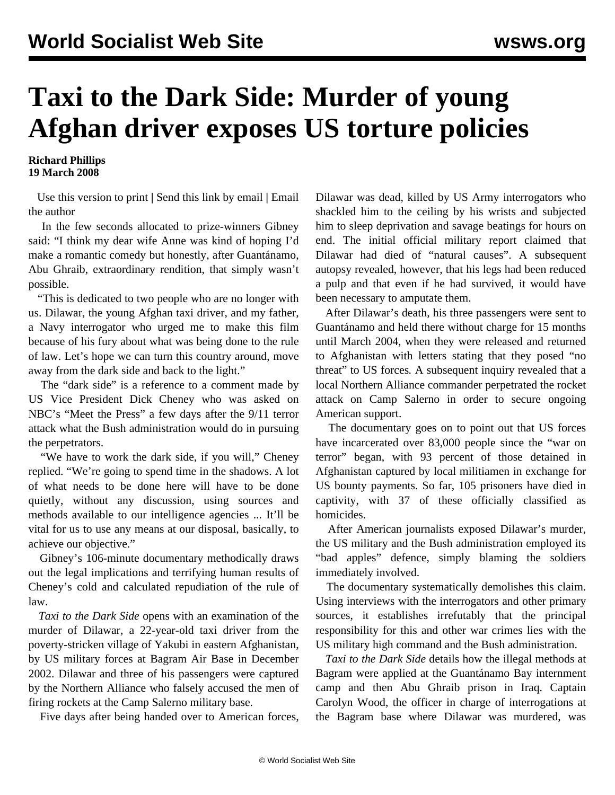## **Taxi to the Dark Side: Murder of young Afghan driver exposes US torture policies**

## **Richard Phillips 19 March 2008**

 [Use this version to print](dark-m19_prn.shtml) **|** [Send this link by email](/cgi-bin/birdcast.cgi) **|** [Email](http://www3.wsws.org/dd-formmailer/dd-formmailer.php) [the author](http://www3.wsws.org/dd-formmailer/dd-formmailer.php)

 In the few seconds allocated to prize-winners Gibney said: "I think my dear wife Anne was kind of hoping I'd make a romantic comedy but honestly, after Guantánamo, Abu Ghraib, extraordinary rendition, that simply wasn't possible.

 "This is dedicated to two people who are no longer with us. Dilawar, the young Afghan taxi driver, and my father, a Navy interrogator who urged me to make this film because of his fury about what was being done to the rule of law. Let's hope we can turn this country around, move away from the dark side and back to the light."

 The "dark side" is a reference to a comment made by US Vice President Dick Cheney who was asked on NBC's "Meet the Press" a few days after the 9/11 terror attack what the Bush administration would do in pursuing the perpetrators.

 "We have to work the dark side, if you will," Cheney replied. "We're going to spend time in the shadows. A lot of what needs to be done here will have to be done quietly, without any discussion, using sources and methods available to our intelligence agencies ... It'll be vital for us to use any means at our disposal, basically, to achieve our objective."

 Gibney's 106-minute documentary methodically draws out the legal implications and terrifying human results of Cheney's cold and calculated repudiation of the rule of law.

 *Taxi to the Dark Side* opens with an examination of the murder of Dilawar, a 22-year-old taxi driver from the poverty-stricken village of Yakubi in eastern Afghanistan, by US military forces at Bagram Air Base in December 2002. Dilawar and three of his passengers were captured by the Northern Alliance who falsely accused the men of firing rockets at the Camp Salerno military base.

Five days after being handed over to American forces,

Dilawar was dead, killed by US Army interrogators who shackled him to the ceiling by his wrists and subjected him to sleep deprivation and savage beatings for hours on end. The initial official military report claimed that Dilawar had died of "natural causes". A subsequent autopsy revealed, however, that his legs had been reduced a pulp and that even if he had survived, it would have been necessary to amputate them.

 After Dilawar's death, his three passengers were sent to Guantánamo and held there without charge for 15 months until March 2004, when they were released and returned to Afghanistan with letters stating that they posed "no threat" to US forces*.* A subsequent inquiry revealed that a local Northern Alliance commander perpetrated the rocket attack on Camp Salerno in order to secure ongoing American support.

 The documentary goes on to point out that US forces have incarcerated over 83,000 people since the "war on terror" began, with 93 percent of those detained in Afghanistan captured by local militiamen in exchange for US bounty payments. So far, 105 prisoners have died in captivity, with 37 of these officially classified as homicides.

 After American journalists exposed Dilawar's murder, the US military and the Bush administration employed its "bad apples" defence, simply blaming the soldiers immediately involved.

 The documentary systematically demolishes this claim. Using interviews with the interrogators and other primary sources, it establishes irrefutably that the principal responsibility for this and other war crimes lies with the US military high command and the Bush administration.

 *Taxi to the Dark Side* details how the illegal methods at Bagram were applied at the Guantánamo Bay internment camp and then Abu Ghraib prison in Iraq. Captain Carolyn Wood, the officer in charge of interrogations at the Bagram base where Dilawar was murdered, was